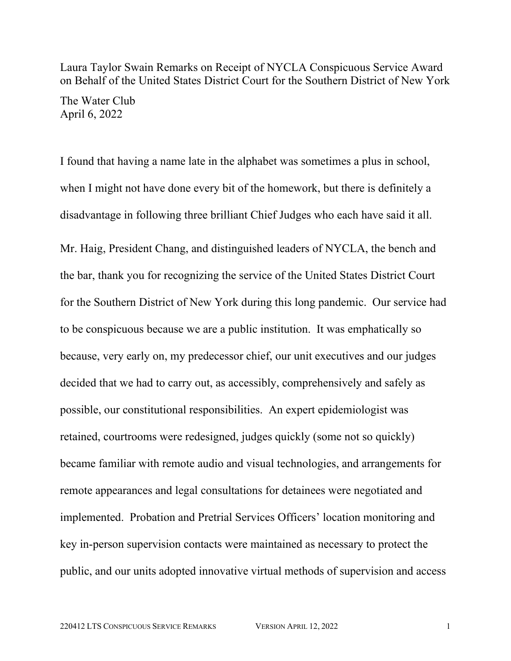Laura Taylor Swain Remarks on Receipt of NYCLA Conspicuous Service Award on Behalf of the United States District Court for the Southern District of New York

The Water Club April 6, 2022

I found that having a name late in the alphabet was sometimes a plus in school, when I might not have done every bit of the homework, but there is definitely a disadvantage in following three brilliant Chief Judges who each have said it all.

Mr. Haig, President Chang, and distinguished leaders of NYCLA, the bench and the bar, thank you for recognizing the service of the United States District Court for the Southern District of New York during this long pandemic. Our service had to be conspicuous because we are a public institution. It was emphatically so because, very early on, my predecessor chief, our unit executives and our judges decided that we had to carry out, as accessibly, comprehensively and safely as possible, our constitutional responsibilities. An expert epidemiologist was retained, courtrooms were redesigned, judges quickly (some not so quickly) became familiar with remote audio and visual technologies, and arrangements for remote appearances and legal consultations for detainees were negotiated and implemented. Probation and Pretrial Services Officers' location monitoring and key in-person supervision contacts were maintained as necessary to protect the public, and our units adopted innovative virtual methods of supervision and access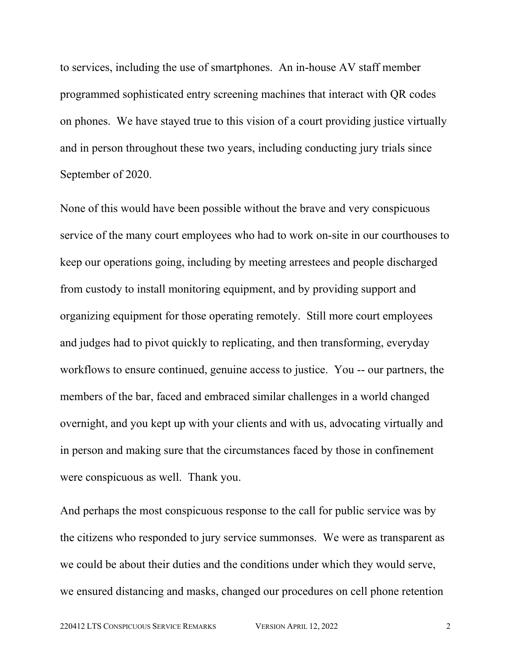to services, including the use of smartphones. An in-house AV staff member programmed sophisticated entry screening machines that interact with QR codes on phones. We have stayed true to this vision of a court providing justice virtually and in person throughout these two years, including conducting jury trials since September of 2020.

None of this would have been possible without the brave and very conspicuous service of the many court employees who had to work on-site in our courthouses to keep our operations going, including by meeting arrestees and people discharged from custody to install monitoring equipment, and by providing support and organizing equipment for those operating remotely. Still more court employees and judges had to pivot quickly to replicating, and then transforming, everyday workflows to ensure continued, genuine access to justice. You -- our partners, the members of the bar, faced and embraced similar challenges in a world changed overnight, and you kept up with your clients and with us, advocating virtually and in person and making sure that the circumstances faced by those in confinement were conspicuous as well. Thank you.

And perhaps the most conspicuous response to the call for public service was by the citizens who responded to jury service summonses. We were as transparent as we could be about their duties and the conditions under which they would serve, we ensured distancing and masks, changed our procedures on cell phone retention